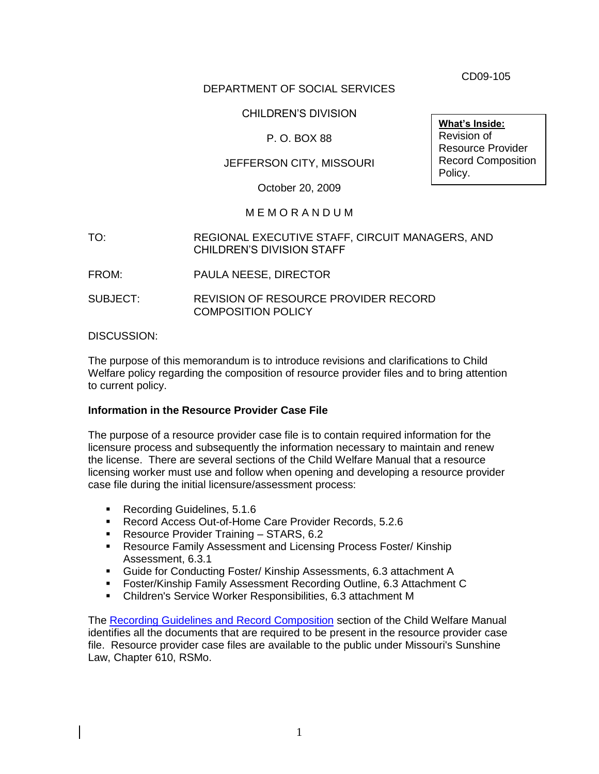CD09-105

## DEPARTMENT OF SOCIAL SERVICES

## CHILDREN'S DIVISION

## P. O. BOX 88

## JEFFERSON CITY, MISSOURI

October 20, 2009

## M E M O R A N D U M

#### TO: REGIONAL EXECUTIVE STAFF, CIRCUIT MANAGERS, AND CHILDREN'S DIVISION STAFF

- FROM: PAULA NEESE, DIRECTOR
- SUBJECT: REVISION OF RESOURCE PROVIDER RECORD COMPOSITION POLICY

#### DISCUSSION:

The purpose of this memorandum is to introduce revisions and clarifications to Child Welfare policy regarding the composition of resource provider files and to bring attention to current policy.

## **Information in the Resource Provider Case File**

The purpose of a resource provider case file is to contain required information for the licensure process and subsequently the information necessary to maintain and renew the license. There are several sections of the Child Welfare Manual that a resource licensing worker must use and follow when opening and developing a resource provider case file during the initial licensure/assessment process:

- Recording Guidelines, 5.1.6
- Record Access Out-of-Home Care Provider Records, 5.2.6
- **Resource Provider Training STARS, 6.2**
- **Resource Family Assessment and Licensing Process Foster/ Kinship** Assessment, 6.3.1
- Guide for Conducting Foster/ Kinship Assessments, 6.3 attachment A
- Foster/Kinship Family Assessment Recording Outline, 6.3 Attachment C
- Children's Service Worker Responsibilities, 6.3 attachment M

The [Recording Guidelines and Record Composition](http://www.dss.mo.gov/cd/info/cwmanual/section5/ch1/sec5ch1sub6.htm) section of the Child Welfare Manual identifies all the documents that are required to be present in the resource provider case file. Resource provider case files are available to the public under Missouri's Sunshine Law, Chapter 610, RSMo.

**What's Inside:** Revision of Resource Provider Record Composition Policy.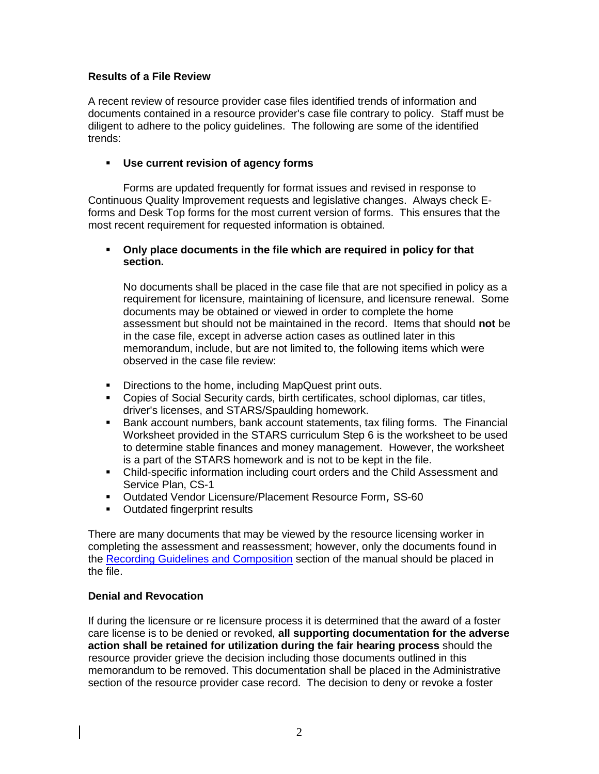## **Results of a File Review**

A recent review of resource provider case files identified trends of information and documents contained in a resource provider's case file contrary to policy. Staff must be diligent to adhere to the policy guidelines. The following are some of the identified trends:

## **Use current revision of agency forms**

Forms are updated frequently for format issues and revised in response to Continuous Quality Improvement requests and legislative changes. Always check Eforms and Desk Top forms for the most current version of forms. This ensures that the most recent requirement for requested information is obtained.

#### **Only place documents in the file which are required in policy for that section.**

No documents shall be placed in the case file that are not specified in policy as a requirement for licensure, maintaining of licensure, and licensure renewal. Some documents may be obtained or viewed in order to complete the home assessment but should not be maintained in the record. Items that should **not** be in the case file, except in adverse action cases as outlined later in this memorandum, include, but are not limited to, the following items which were observed in the case file review:

- Directions to the home, including MapQuest print outs.
- Copies of Social Security cards, birth certificates, school diplomas, car titles, driver's licenses, and STARS/Spaulding homework.
- **Bank account numbers, bank account statements, tax filing forms. The Financial** Worksheet provided in the STARS curriculum Step 6 is the worksheet to be used to determine stable finances and money management. However, the worksheet is a part of the STARS homework and is not to be kept in the file.
- Child-specific information including court orders and the Child Assessment and Service Plan, CS-1
- Outdated Vendor Licensure/Placement Resource Form, SS-60
- **•** Outdated fingerprint results

There are many documents that may be viewed by the resource licensing worker in completing the assessment and reassessment; however, only the documents found in the [Recording Guidelines and Composition](http://www.dss.mo.gov/cd/info/cwmanual/section5/ch1/sec5ch1sub6.htm) section of the manual should be placed in the file.

## **Denial and Revocation**

If during the licensure or re licensure process it is determined that the award of a foster care license is to be denied or revoked, **all supporting documentation for the adverse action shall be retained for utilization during the fair hearing process** should the resource provider grieve the decision including those documents outlined in this memorandum to be removed. This documentation shall be placed in the Administrative section of the resource provider case record. The decision to deny or revoke a foster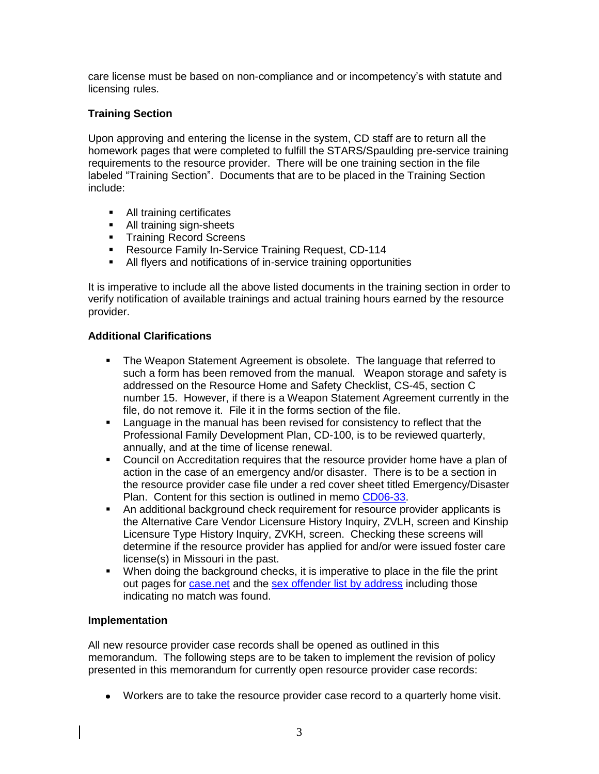care license must be based on non-compliance and or incompetency's with statute and licensing rules.

## **Training Section**

Upon approving and entering the license in the system, CD staff are to return all the homework pages that were completed to fulfill the STARS/Spaulding pre-service training requirements to the resource provider. There will be one training section in the file labeled "Training Section". Documents that are to be placed in the Training Section include:

- All training certificates
- All training sign-sheets
- **Training Record Screens**
- **Resource Family In-Service Training Request, CD-114**
- All flyers and notifications of in-service training opportunities

It is imperative to include all the above listed documents in the training section in order to verify notification of available trainings and actual training hours earned by the resource provider.

## **Additional Clarifications**

- The Weapon Statement Agreement is obsolete. The language that referred to such a form has been removed from the manual. Weapon storage and safety is addressed on the Resource Home and Safety Checklist, CS-45, section C number 15. However, if there is a Weapon Statement Agreement currently in the file, do not remove it. File it in the forms section of the file.
- Language in the manual has been revised for consistency to reflect that the Professional Family Development Plan, CD-100, is to be reviewed quarterly, annually, and at the time of license renewal.
- Council on Accreditation requires that the resource provider home have a plan of action in the case of an emergency and/or disaster. There is to be a section in the resource provider case file under a red cover sheet titled Emergency/Disaster Plan. Content for this section is outlined in memo [CD06-33.](http://www.dss.mo.gov/cd/info/memos/2006/33/cd0633.pdf)
- An additional background check requirement for resource provider applicants is the Alternative Care Vendor Licensure History Inquiry, ZVLH, screen and Kinship Licensure Type History Inquiry, ZVKH, screen. Checking these screens will determine if the resource provider has applied for and/or were issued foster care license(s) in Missouri in the past.
- When doing the background checks, it is imperative to place in the file the print out pages for [case.net](https://www.courts.mo.gov/casenet/base/welcome.do) and the [sex offender list by address](http://www.mshp.dps.mo.gov/CJ38/searchRegistry.jsp) including those indicating no match was found.

## **Implementation**

All new resource provider case records shall be opened as outlined in this memorandum. The following steps are to be taken to implement the revision of policy presented in this memorandum for currently open resource provider case records:

Workers are to take the resource provider case record to a quarterly home visit.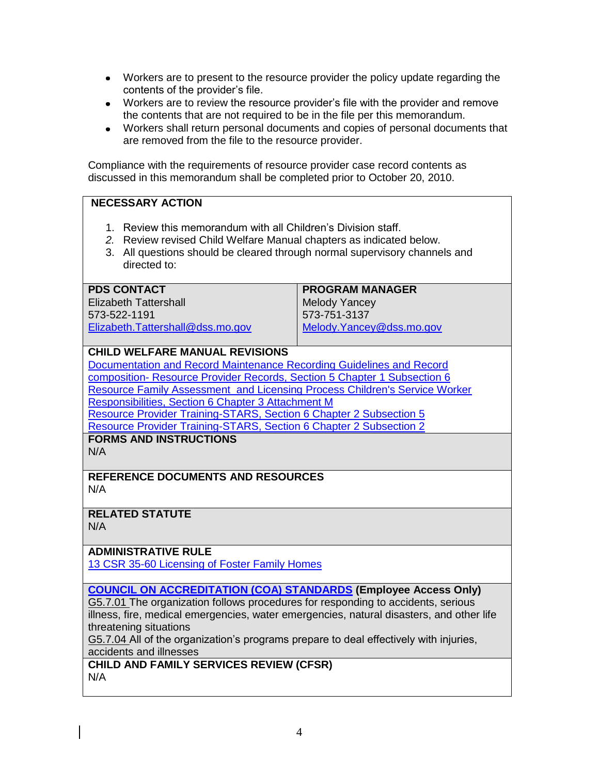- Workers are to present to the resource provider the policy update regarding the contents of the provider's file.
- Workers are to review the resource provider's file with the provider and remove the contents that are not required to be in the file per this memorandum.
- Workers shall return personal documents and copies of personal documents that are removed from the file to the resource provider.

Compliance with the requirements of resource provider case record contents as discussed in this memorandum shall be completed prior to October 20, 2010.

## **NECESSARY ACTION**

- 1. Review this memorandum with all Children's Division staff.
- *2.* Review revised Child Welfare Manual chapters as indicated below.
- 3. All questions should be cleared through normal supervisory channels and directed to:

#### **PDS CONTACT**

Elizabeth Tattershall 573-522-1191 [Elizabeth.Tattershall@dss.mo.gov](mailto:Elizabeth.Tattershall@dss.mo.gov) **PROGRAM MANAGER** Melody Yancey 573-751-3137 [Melody.Yancey@dss.mo.gov](mailto:Melody.Yancey@dss.mo.gov)

## **CHILD WELFARE MANUAL REVISIONS**

[Documentation and Record Maintenance Recording Guidelines and Record](http://www.dss.mo.gov/cd/info/cwmanual/section5/ch1/sec5ch1sub6.htm)  composition- [Resource Provider Records, Section 5 Chapter 1 Subsection 6](http://www.dss.mo.gov/cd/info/cwmanual/section5/ch1/sec5ch1sub6.htm) [Resource Family Assessment and Licensing Process Children's Service Worker](http://www.dss.mo.gov/cd/info/cwmanual/section6/ch3/sec6ch3attachm.htm)  [Responsibilities, Section 6 Chapter 3 Attachment M](http://www.dss.mo.gov/cd/info/cwmanual/section6/ch3/sec6ch3attachm.htm) [Resource Provider Training-STARS, Section 6 Chapter 2 Subsection 5](http://www.dss.mo.gov/cd/info/cwmanual/section6/ch2/sec6ch2sub5.htm) [Resource Provider Training-STARS, Section 6 Chapter 2 Subsection 2](http://www.dss.mo.gov/cd/info/cwmanual/section6/ch2/sec6ch2sub2.htm) **FORMS AND INSTRUCTIONS**

N/A

#### **REFERENCE DOCUMENTS AND RESOURCES** N/A

## **RELATED STATUTE**

N/A

## **ADMINISTRATIVE RULE**

[13 CSR 35-60 Licensing of Foster Family Homes](http://www.sos.mo.gov/adrules/csr/current/13csr/13c35-60.pdf)

**[COUNCIL ON ACCREDITATION \(COA\) STANDARDS](http://dssweb/cs/standards/start.html) (Employee Access Only)**

G5.7.01 The organization follows procedures for responding to accidents, serious illness, fire, medical emergencies, water emergencies, natural disasters, and other life threatening situations

G5.7.04 All of the organization's programs prepare to deal effectively with injuries, accidents and illnesses

**CHILD AND FAMILY SERVICES REVIEW (CFSR)** N/A